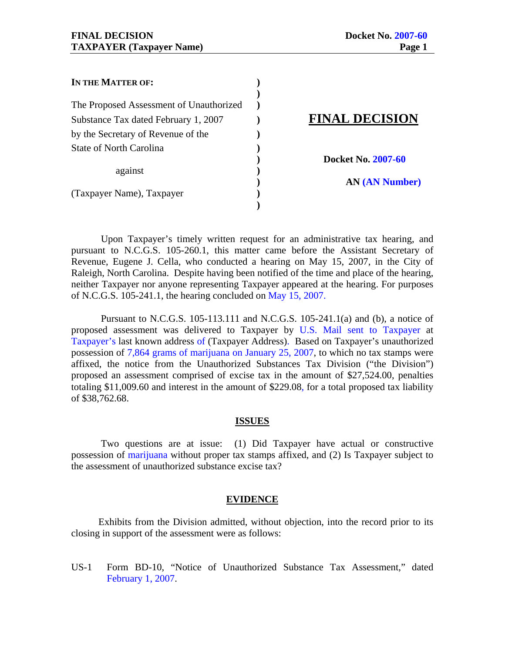| IN THE MATTER OF:                       |                       |
|-----------------------------------------|-----------------------|
| The Proposed Assessment of Unauthorized |                       |
| Substance Tax dated February 1, 2007    | <b>FINAL DECISION</b> |
| by the Secretary of Revenue of the      |                       |
| <b>State of North Carolina</b>          |                       |
|                                         | Docket No. 2007-60    |
| against                                 |                       |
|                                         | <b>AN (AN Number)</b> |
| (Taxpayer Name), Taxpayer               |                       |
|                                         |                       |

 Upon Taxpayer's timely written request for an administrative tax hearing, and pursuant to N.C.G.S. 105-260.1, this matter came before the Assistant Secretary of Revenue, Eugene J. Cella, who conducted a hearing on May 15, 2007, in the City of Raleigh, North Carolina. Despite having been notified of the time and place of the hearing, neither Taxpayer nor anyone representing Taxpayer appeared at the hearing. For purposes of N.C.G.S. 105-241.1, the hearing concluded on May 15, 2007.

 Pursuant to N.C.G.S. 105-113.111 and N.C.G.S. 105-241.1(a) and (b), a notice of proposed assessment was delivered to Taxpayer by U.S. Mail sent to Taxpayer at Taxpayer's last known address of (Taxpayer Address). Based on Taxpayer's unauthorized possession of 7,864 grams of marijuana on January 25, 2007, to which no tax stamps were affixed, the notice from the Unauthorized Substances Tax Division ("the Division") proposed an assessment comprised of excise tax in the amount of \$27,524.00, penalties totaling \$11,009.60 and interest in the amount of \$229.08, for a total proposed tax liability of \$38,762.68.

### **ISSUES**

 Two questions are at issue: (1) Did Taxpayer have actual or constructive possession of marijuana without proper tax stamps affixed, and (2) Is Taxpayer subject to the assessment of unauthorized substance excise tax?

### **EVIDENCE**

 Exhibits from the Division admitted, without objection, into the record prior to its closing in support of the assessment were as follows:

US-1 Form BD-10, "Notice of Unauthorized Substance Tax Assessment," dated February 1, 2007.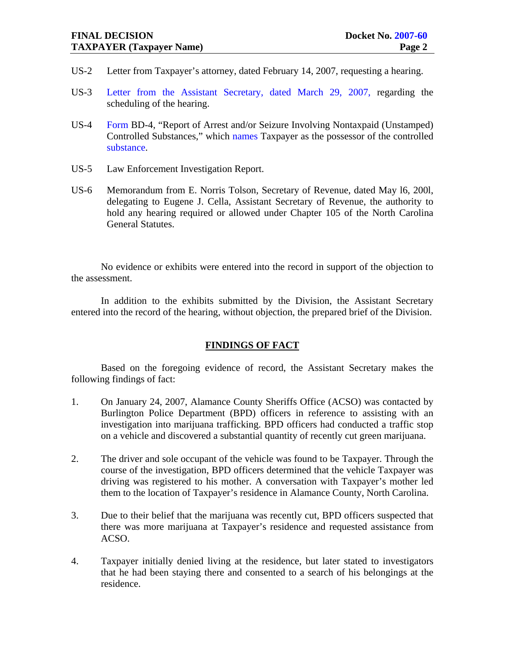- US-2 Letter from Taxpayer's attorney, dated February 14, 2007, requesting a hearing.
- US-3 Letter from the Assistant Secretary, dated March 29, 2007, regarding the scheduling of the hearing.
- US-4 Form BD-4, "Report of Arrest and/or Seizure Involving Nontaxpaid (Unstamped) Controlled Substances," which names Taxpayer as the possessor of the controlled substance.
- US-5 Law Enforcement Investigation Report.
- US-6 Memorandum from E. Norris Tolson, Secretary of Revenue, dated May l6, 200l, delegating to Eugene J. Cella, Assistant Secretary of Revenue, the authority to hold any hearing required or allowed under Chapter 105 of the North Carolina General Statutes.

No evidence or exhibits were entered into the record in support of the objection to the assessment.

 In addition to the exhibits submitted by the Division, the Assistant Secretary entered into the record of the hearing, without objection, the prepared brief of the Division.

## **FINDINGS OF FACT**

Based on the foregoing evidence of record, the Assistant Secretary makes the following findings of fact:

- 1. On January 24, 2007, Alamance County Sheriffs Office (ACSO) was contacted by Burlington Police Department (BPD) officers in reference to assisting with an investigation into marijuana trafficking. BPD officers had conducted a traffic stop on a vehicle and discovered a substantial quantity of recently cut green marijuana.
- 2. The driver and sole occupant of the vehicle was found to be Taxpayer. Through the course of the investigation, BPD officers determined that the vehicle Taxpayer was driving was registered to his mother. A conversation with Taxpayer's mother led them to the location of Taxpayer's residence in Alamance County, North Carolina.
- 3. Due to their belief that the marijuana was recently cut, BPD officers suspected that there was more marijuana at Taxpayer's residence and requested assistance from ACSO.
- 4. Taxpayer initially denied living at the residence, but later stated to investigators that he had been staying there and consented to a search of his belongings at the residence.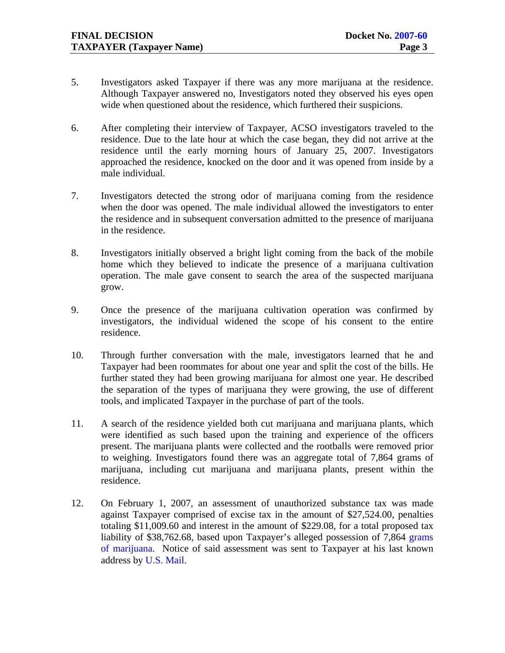- 5. Investigators asked Taxpayer if there was any more marijuana at the residence. Although Taxpayer answered no, Investigators noted they observed his eyes open wide when questioned about the residence, which furthered their suspicions.
- 6. After completing their interview of Taxpayer, ACSO investigators traveled to the residence. Due to the late hour at which the case began, they did not arrive at the residence until the early morning hours of January 25, 2007. Investigators approached the residence, knocked on the door and it was opened from inside by a male individual.
- 7. Investigators detected the strong odor of marijuana coming from the residence when the door was opened. The male individual allowed the investigators to enter the residence and in subsequent conversation admitted to the presence of marijuana in the residence.
- 8. Investigators initially observed a bright light coming from the back of the mobile home which they believed to indicate the presence of a marijuana cultivation operation. The male gave consent to search the area of the suspected marijuana grow.
- 9. Once the presence of the marijuana cultivation operation was confirmed by investigators, the individual widened the scope of his consent to the entire residence.
- 10. Through further conversation with the male, investigators learned that he and Taxpayer had been roommates for about one year and split the cost of the bills. He further stated they had been growing marijuana for almost one year. He described the separation of the types of marijuana they were growing, the use of different tools, and implicated Taxpayer in the purchase of part of the tools.
- 11. A search of the residence yielded both cut marijuana and marijuana plants, which were identified as such based upon the training and experience of the officers present. The marijuana plants were collected and the rootballs were removed prior to weighing. Investigators found there was an aggregate total of 7,864 grams of marijuana, including cut marijuana and marijuana plants, present within the residence.
- 12. On February 1, 2007, an assessment of unauthorized substance tax was made against Taxpayer comprised of excise tax in the amount of \$27,524.00, penalties totaling \$11,009.60 and interest in the amount of \$229.08, for a total proposed tax liability of \$38,762.68, based upon Taxpayer's alleged possession of 7,864 grams of marijuana. Notice of said assessment was sent to Taxpayer at his last known address by U.S. Mail.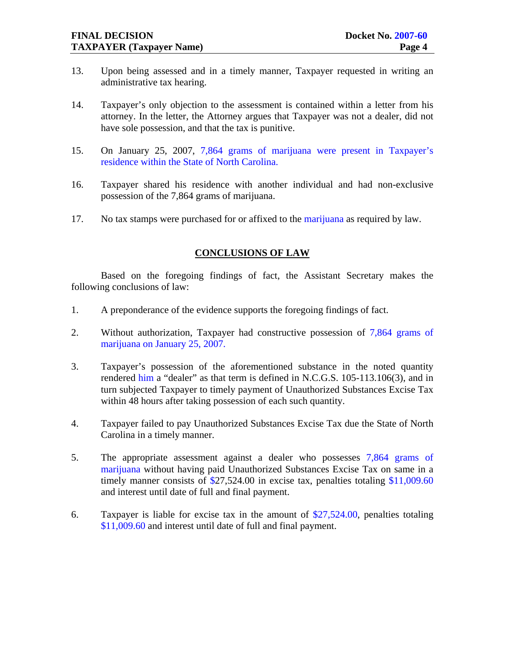- 13. Upon being assessed and in a timely manner, Taxpayer requested in writing an administrative tax hearing.
- 14. Taxpayer's only objection to the assessment is contained within a letter from his attorney. In the letter, the Attorney argues that Taxpayer was not a dealer, did not have sole possession, and that the tax is punitive.
- 15. On January 25, 2007, 7,864 grams of marijuana were present in Taxpayer's residence within the State of North Carolina.
- 16. Taxpayer shared his residence with another individual and had non-exclusive possession of the 7,864 grams of marijuana.
- 17. No tax stamps were purchased for or affixed to the marijuana as required by law.

### **CONCLUSIONS OF LAW**

 Based on the foregoing findings of fact, the Assistant Secretary makes the following conclusions of law:

- 1. A preponderance of the evidence supports the foregoing findings of fact.
- 2. Without authorization, Taxpayer had constructive possession of 7,864 grams of marijuana on January 25, 2007.
- 3. Taxpayer's possession of the aforementioned substance in the noted quantity rendered him a "dealer" as that term is defined in N.C.G.S. 105-113.106(3), and in turn subjected Taxpayer to timely payment of Unauthorized Substances Excise Tax within 48 hours after taking possession of each such quantity.
- 4. Taxpayer failed to pay Unauthorized Substances Excise Tax due the State of North Carolina in a timely manner.
- 5. The appropriate assessment against a dealer who possesses 7,864 grams of marijuana without having paid Unauthorized Substances Excise Tax on same in a timely manner consists of \$27,524.00 in excise tax, penalties totaling \$11,009.60 and interest until date of full and final payment.
- 6. Taxpayer is liable for excise tax in the amount of \$27,524.00, penalties totaling \$11,009.60 and interest until date of full and final payment.